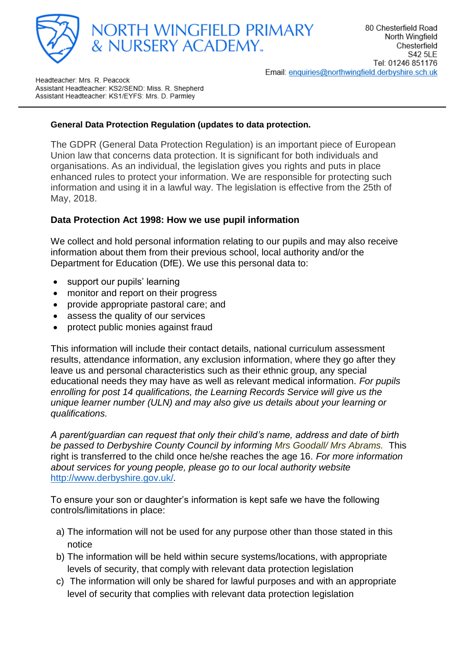



Headteacher: Mrs. R. Peacock Assistant Headteacher: KS2/SEND: Miss. R. Shepherd Assistant Headteacher: KS1/EYFS: Mrs. D. Parmley

## **General Data Protection Regulation (updates to data protection.**

The GDPR (General Data Protection Regulation) is an important piece of European Union law that concerns data protection. It is significant for both individuals and organisations. As an individual, the legislation gives you rights and puts in place enhanced rules to protect your information. We are responsible for protecting such information and using it in a lawful way. The legislation is effective from the 25th of May, 2018.

## **Data Protection Act 1998: How we use pupil information**

We collect and hold personal information relating to our pupils and may also receive information about them from their previous school, local authority and/or the Department for Education (DfE). We use this personal data to:

- support our pupils' learning
- monitor and report on their progress
- provide appropriate pastoral care; and
- assess the quality of our services
- protect public monies against fraud

This information will include their contact details, national curriculum assessment results, attendance information, any exclusion information, where they go after they leave us and personal characteristics such as their ethnic group, any special educational needs they may have as well as relevant medical information. *For pupils enrolling for post 14 qualifications, the Learning Records Service will give us the unique learner number (ULN) and may also give us details about your learning or qualifications.*

*A parent/guardian can request that only their child's name, address and date of birth be passed to Derbyshire County Council by informing Mrs Goodall/ Mrs Abrams.* This right is transferred to the child once he/she reaches the age 16. *For more information about services for young people, please go to our local authority website*  <http://www.derbyshire.gov.uk/>*.*

To ensure your son or daughter's information is kept safe we have the following controls/limitations in place:

- a) The information will not be used for any purpose other than those stated in this notice
- b) The information will be held within secure systems/locations, with appropriate levels of security, that comply with relevant data protection legislation
- c) The information will only be shared for lawful purposes and with an appropriate level of security that complies with relevant data protection legislation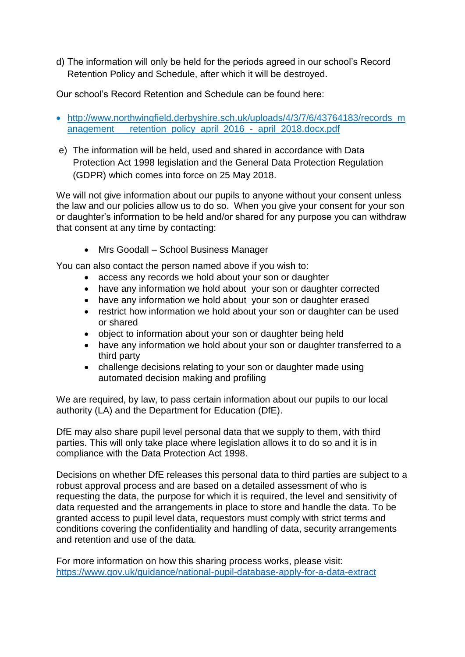d) The information will only be held for the periods agreed in our school's Record Retention Policy and Schedule, after which it will be destroyed.

Our school's Record Retention and Schedule can be found here:

- [http://www.northwingfield.derbyshire.sch.uk/uploads/4/3/7/6/43764183/records\\_m](http://www.northwingfield.derbyshire.sch.uk/uploads/4/3/7/6/43764183/records_management___retention_policy_april_2016_-_april_2018.docx.pdf) anagement retention policy april 2016 - april 2018.docx.pdf
- e) The information will be held, used and shared in accordance with Data Protection Act 1998 legislation and the General Data Protection Regulation (GDPR) which comes into force on 25 May 2018.

We will not give information about our pupils to anyone without your consent unless the law and our policies allow us to do so. When you give your consent for your son or daughter's information to be held and/or shared for any purpose you can withdraw that consent at any time by contacting:

• Mrs Goodall – School Business Manager

You can also contact the person named above if you wish to:

- access any records we hold about your son or daughter
- have any information we hold about your son or daughter corrected
- have any information we hold about your son or daughter erased
- restrict how information we hold about your son or daughter can be used or shared
- object to information about your son or daughter being held
- have any information we hold about your son or daughter transferred to a third party
- challenge decisions relating to your son or daughter made using automated decision making and profiling

We are required, by law, to pass certain information about our pupils to our local authority (LA) and the Department for Education (DfE).

DfE may also share pupil level personal data that we supply to them, with third parties. This will only take place where legislation allows it to do so and it is in compliance with the Data Protection Act 1998.

Decisions on whether DfE releases this personal data to third parties are subject to a robust approval process and are based on a detailed assessment of who is requesting the data, the purpose for which it is required, the level and sensitivity of data requested and the arrangements in place to store and handle the data. To be granted access to pupil level data, requestors must comply with strict terms and conditions covering the confidentiality and handling of data, security arrangements and retention and use of the data.

For more information on how this sharing process works, please visit: <https://www.gov.uk/guidance/national-pupil-database-apply-for-a-data-extract>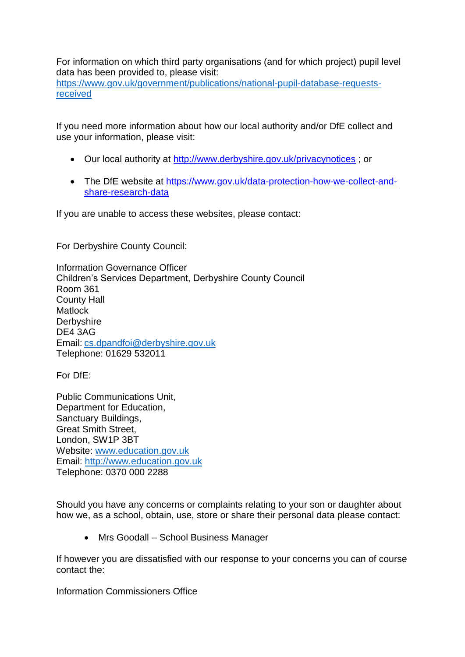For information on which third party organisations (and for which project) pupil level data has been provided to, please visit:

[https://www.gov.uk/government/publications/national-pupil-database-requests](https://www.gov.uk/government/publications/national-pupil-database-requests-received)[received](https://www.gov.uk/government/publications/national-pupil-database-requests-received)

If you need more information about how our local authority and/or DfE collect and use your information, please visit:

- Our local authority at<http://www.derbyshire.gov.uk/privacynotices> ; or
- The DfE website at [https://www.gov.uk/data-protection-how-we-collect-and](https://www.gov.uk/data-protection-how-we-collect-and-share-research-data)[share-research-data](https://www.gov.uk/data-protection-how-we-collect-and-share-research-data)

If you are unable to access these websites, please contact:

For Derbyshire County Council:

Information Governance Officer Children's Services Department, Derbyshire County Council Room 361 County Hall **Matlock Derbyshire** DE4 3AG Email: [cs.dpandfoi@derbyshire.gov.uk](mailto:cs.dpandfoi@derbyshire.gov.uk)  Telephone: 01629 532011

For DfE:

Public Communications Unit, Department for Education, Sanctuary Buildings, Great Smith Street, London, SW1P 3BT Website: [www.education.gov.uk](http://www.education.gov.uk/) Email: [http://www.education.gov.uk](http://www.education.gov.uk/)  Telephone: 0370 000 2288

Should you have any concerns or complaints relating to your son or daughter about how we, as a school, obtain, use, store or share their personal data please contact:

• Mrs Goodall – School Business Manager

If however you are dissatisfied with our response to your concerns you can of course contact the:

Information Commissioners Office